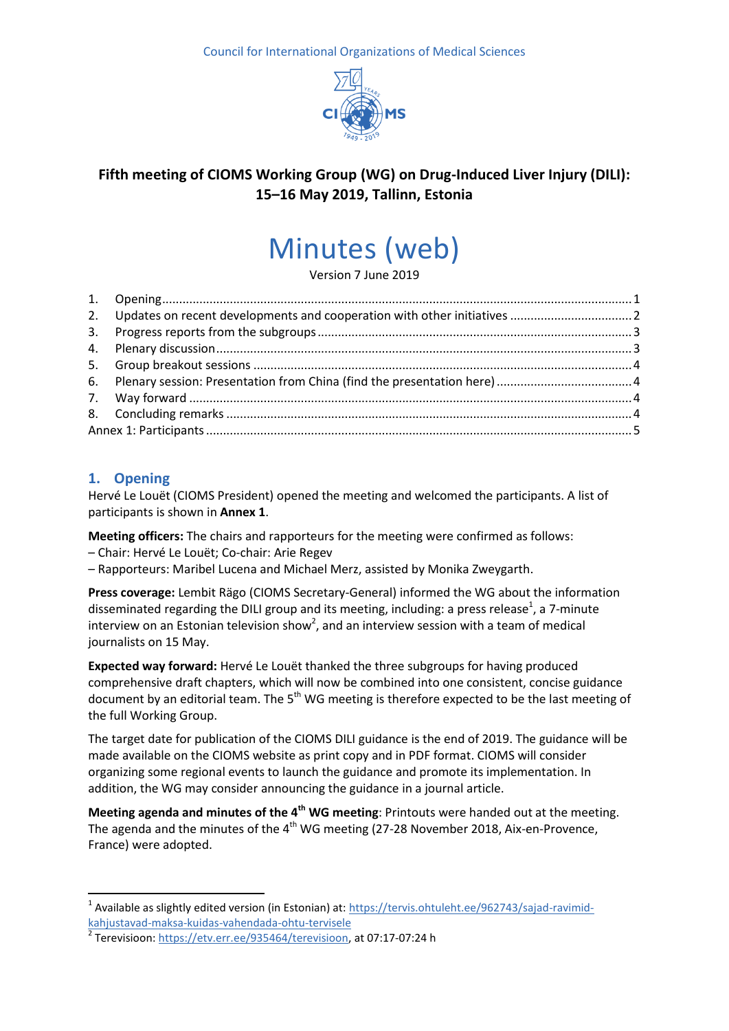Council for International Organizations of Medical Sciences



## **Fifth meeting of CIOMS Working Group (WG) on Drug-Induced Liver Injury (DILI): 15–16 May 2019, Tallinn, Estonia**

# Minutes (web)

Version 7 June 2019

## <span id="page-0-0"></span>**1. Opening**

Hervé Le Louët (CIOMS President) opened the meeting and welcomed the participants. A list of participants is shown in **Annex 1**.

**Meeting officers:** The chairs and rapporteurs for the meeting were confirmed as follows: – Chair: Hervé Le Louët; Co-chair: Arie Regev

– Rapporteurs: Maribel Lucena and Michael Merz, assisted by Monika Zweygarth.

**Press coverage:** Lembit Rägo (CIOMS Secretary-General) informed the WG about the information disseminated regarding the DILI group and its meeting, including: a press release<sup>1</sup>, a 7-minute interview on an Estonian television show<sup>2</sup>, and an interview session with a team of medical journalists on 15 May.

**Expected way forward:** Hervé Le Louët thanked the three subgroups for having produced comprehensive draft chapters, which will now be combined into one consistent, concise guidance document by an editorial team. The 5<sup>th</sup> WG meeting is therefore expected to be the last meeting of the full Working Group.

The target date for publication of the CIOMS DILI guidance is the end of 2019. The guidance will be made available on the CIOMS website as print copy and in PDF format. CIOMS will consider organizing some regional events to launch the guidance and promote its implementation. In addition, the WG may consider announcing the guidance in a journal article.

**Meeting agenda and minutes of the 4th WG meeting**: Printouts were handed out at the meeting. The agenda and the minutes of the  $4<sup>th</sup>$  WG meeting (27-28 November 2018, Aix-en-Provence, France) were adopted.

 $\overline{\phantom{a}}$ <sup>1</sup> Available as slightly edited version (in Estonian) at: [https://tervis.ohtuleht.ee/962743/sajad-ravimid-](https://tervis.ohtuleht.ee/962743/sajad-ravimid-kahjustavad-maksa-kuidas-vahendada-ohtu-tervisele)

[kahjustavad-maksa-kuidas-vahendada-ohtu-tervisele](https://tervis.ohtuleht.ee/962743/sajad-ravimid-kahjustavad-maksa-kuidas-vahendada-ohtu-tervisele) 2

Terevisioon[: https://etv.err.ee/935464/terevisioon,](https://etv.err.ee/935464/terevisioon) at 07:17-07:24 h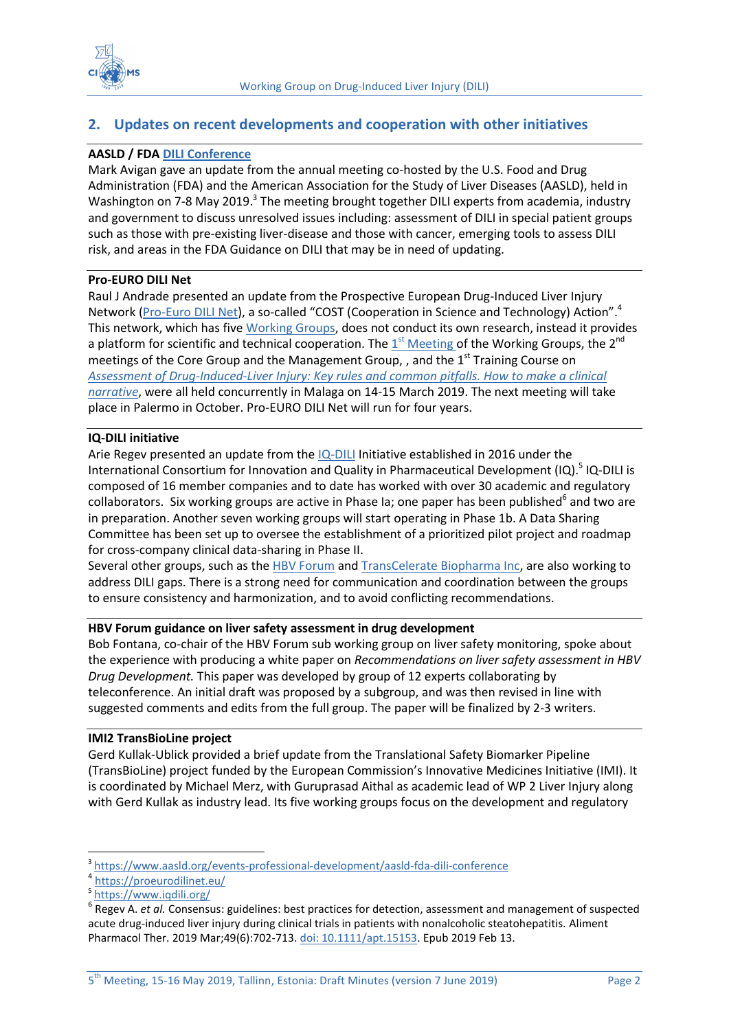



## <span id="page-1-0"></span>**2. Updates on recent developments and cooperation with other initiatives**

#### **AASLD / FDA [DILI Conference](https://www.aasldnews.org/dili-conference-to-tackle-three-areas-of-unmet-need/)**

Mark Avigan gave an update from the annual meeting co-hosted by the U.S. Food and Drug Administration (FDA) and the American Association for the Study of Liver Diseases (AASLD), held in Washington on 7-8 May 2019.<sup>3</sup> The meeting brought together DILI experts from academia, industry and government to discuss unresolved issues including: assessment of DILI in special patient groups such as those with pre-existing liver-disease and those with cancer, emerging tools to assess DILI risk, and areas in the FDA Guidance on DILI that may be in need of updating.

#### **Pro-EURO DILI Net**

Raul J Andrade presented an update from the Prospective European Drug-Induced Liver Injury Network [\(Pro-Euro DILI Net\)](https://proeurodilinet.eu/), a so-called "COST (Cooperation in Science and Technology) Action".<sup>4</sup> This network, which has five [Working Groups,](https://proeurodilinet.eu/working-groups) does not conduct its own research, instead it provides a platform for scientific and technical cooperation. The  $1^{st}$  [Meeting o](https://proeurodilinet.eu/1st-working-groups-meeting-2nd-cg-mc-training-school-malaga-14-15-march-2019#working-groups-meeting)f the Working Group[s, the 2](https://proeurodilinet.eu/wp-content/uploads/2018/09/AGENDA-1st-Training-course-in-DILI-CA-17112-Malaga.pdf)<sup>nd</sup> meetings of the Core Group and the Management Group, , and the 1<sup>st</sup> Training Course on *[Assessment of Drug-Induced-Liver Injury: Key rules and common pitfalls. How to make a clinical](https://proeurodilinet.eu/wp-content/uploads/2018/09/AGENDA-1st-Training-course-in-DILI-CA-17112-Malaga.pdf)  [narrative](https://proeurodilinet.eu/wp-content/uploads/2018/09/AGENDA-1st-Training-course-in-DILI-CA-17112-Malaga.pdf)*, were all held concurrently in Malaga on 14-15 March 2019. The next meeting will take place in Palermo in October. Pro-EURO DILI Net will run for four years.

#### **IQ-DILI initiative**

Arie Regev presented an update from the [IQ-DILI](https://www.iqdili.org/) Initiative established in 2016 under the International Consortium for Innovation and Quality in Pharmaceutical Development (IQ).<sup>5</sup> IQ-DILI is composed of 16 member companies and to date has worked with over 30 academic and regulatory collaborators. Six working groups are active in Phase Ia; one paper has been published<sup>6</sup> and two are in preparation. Another seven working groups will start operating in Phase 1b. A Data Sharing Committee has been set up to oversee the establishment of a prioritized pilot project and roadmap for cross-company clinical data-sharing in Phase II.

Several other groups, such as th[e HBV Forum](https://www.forumresearch.org/projects/hbv-forum) and [TransCelerate Biopharma Inc,](https://www.transceleratebiopharmainc.com/) are also working to address DILI gaps. There is a strong need for communication and coordination between the groups to ensure consistency and harmonization, and to avoid conflicting recommendations.

#### **HBV Forum guidance on liver safety assessment in drug development**

Bob Fontana, co-chair of the HBV Forum sub working group on liver safety monitoring, spoke about the experience with producing a white paper on *Recommendations on liver safety assessment in HBV Drug Development.* This paper was developed by group of 12 experts collaborating by teleconference. An initial draft was proposed by a subgroup, and was then revised in line with suggested comments and edits from the full group. The paper will be finalized by 2-3 writers.

#### **IMI2 TransBioLine project**

Gerd Kullak-Ublick provided a brief update from the Translational Safety Biomarker Pipeline (TransBioLine) project funded by the European Commission's Innovative Medicines Initiative (IMI). It is coordinated by Michael Merz, with Guruprasad Aithal as academic lead of WP 2 Liver Injury along with Gerd Kullak as industry lead. Its five working groups focus on the development and regulatory

**.** 

<sup>3</sup> <https://www.aasld.org/events-professional-development/aasld-fda-dili-conference>

<sup>4</sup> <https://proeurodilinet.eu/>

<sup>5</sup> <https://www.iqdili.org/>

<sup>&</sup>lt;sup>6</sup> Regev A. *et al.* Consensus: guidelines: best practices for detection, assessment and management of suspected acute drug-induced liver injury during clinical trials in patients with nonalcoholic steatohepatitis. Aliment Pharmacol Ther. 2019 Mar;49(6):702-713. [doi: 10.1111/apt.15153.](https://doi.org/10.1111/apt.15153) Epub 2019 Feb 13.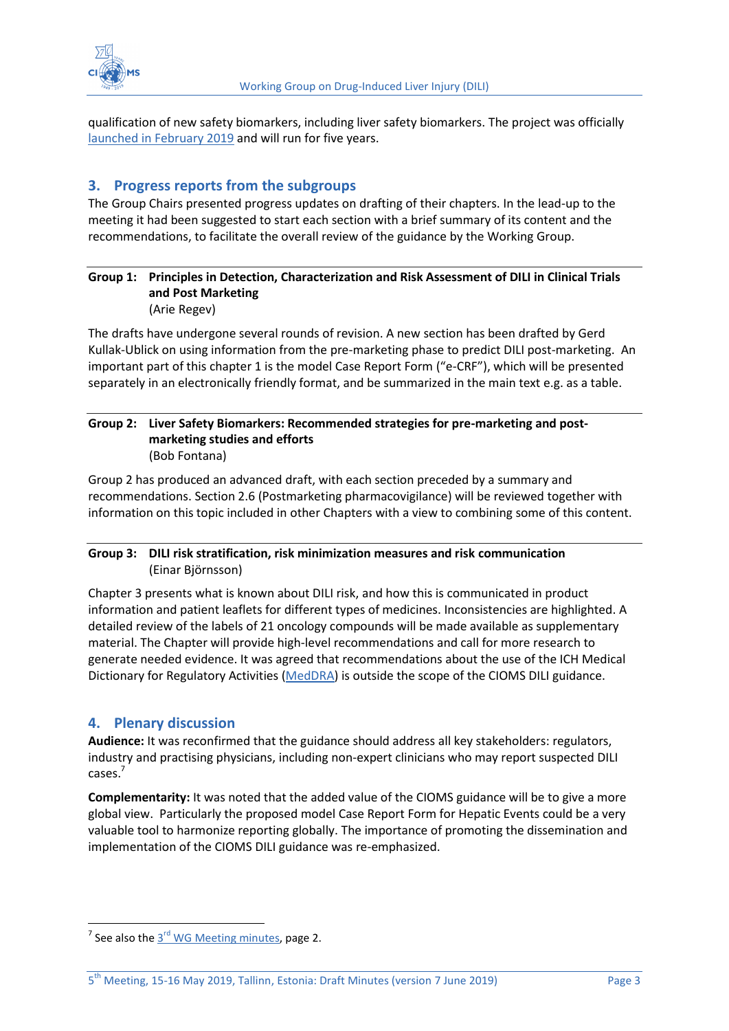

qualification of new safety biomarkers, including liver safety biomarkers. The project was officially launched [in February](https://www.media.uzh.ch/en/Press-Releases/2019/Biomarker.html) 2019 and will run for five years.

## <span id="page-2-0"></span>**3. Progress reports from the subgroups**

The Group Chairs presented progress updates on drafting of their chapters. In the lead-up to the meeting it had been suggested to start each section with a brief summary of its content and the recommendations, to facilitate the overall review of the guidance by the Working Group.

#### **Group 1: Principles in Detection, Characterization and Risk Assessment of DILI in Clinical Trials and Post Marketing** (Arie Regev)

The drafts have undergone several rounds of revision. A new section has been drafted by Gerd Kullak-Ublick on using information from the pre-marketing phase to predict DILI post-marketing. An important part of this chapter 1 is the model Case Report Form ("e-CRF"), which will be presented separately in an electronically friendly format, and be summarized in the main text e.g. as a table.

#### **Group 2: Liver Safety Biomarkers: Recommended strategies for pre-marketing and postmarketing studies and efforts** (Bob Fontana)

Group 2 has produced an advanced draft, with each section preceded by a summary and recommendations. Section 2.6 (Postmarketing pharmacovigilance) will be reviewed together with information on this topic included in other Chapters with a view to combining some of this content.

#### **Group 3: DILI risk stratification, risk minimization measures and risk communication** (Einar Björnsson)

Chapter 3 presents what is known about DILI risk, and how this is communicated in product information and patient leaflets for different types of medicines. Inconsistencies are highlighted. A detailed review of the labels of 21 oncology compounds will be made available as supplementary material. The Chapter will provide high-level recommendations and call for more research to generate needed evidence. It was agreed that recommendations about the use of the ICH Medical Dictionary for Regulatory Activities [\(MedDRA\)](https://www.meddra.org/) is outside the scope of the CIOMS DILI guidance.

## <span id="page-2-1"></span>**4. Plenary discussion**

**.** 

**Audience:** It was reconfirmed that the guidance should address all key stakeholders: regulators, industry and practising physicians, including non-expert clinicians who may report suspected DILI cases. 7

**Complementarity:** It was noted that the added value of the CIOMS guidance will be to give a more global view. Particularly the proposed model Case Report Form for Hepatic Events could be a very valuable tool to harmonize reporting globally. The importance of promoting the dissemination and implementation of the CIOMS DILI guidance was re-emphasized.

<sup>&</sup>lt;sup>7</sup> See also the  $3<sup>rd</sup>$  [WG Meeting minutes,](https://cioms.ch/wp-content/uploads/2017/06/WebMinutes-3rdMtg_DILI-WG_May-8-9-2018.pdf) page 2.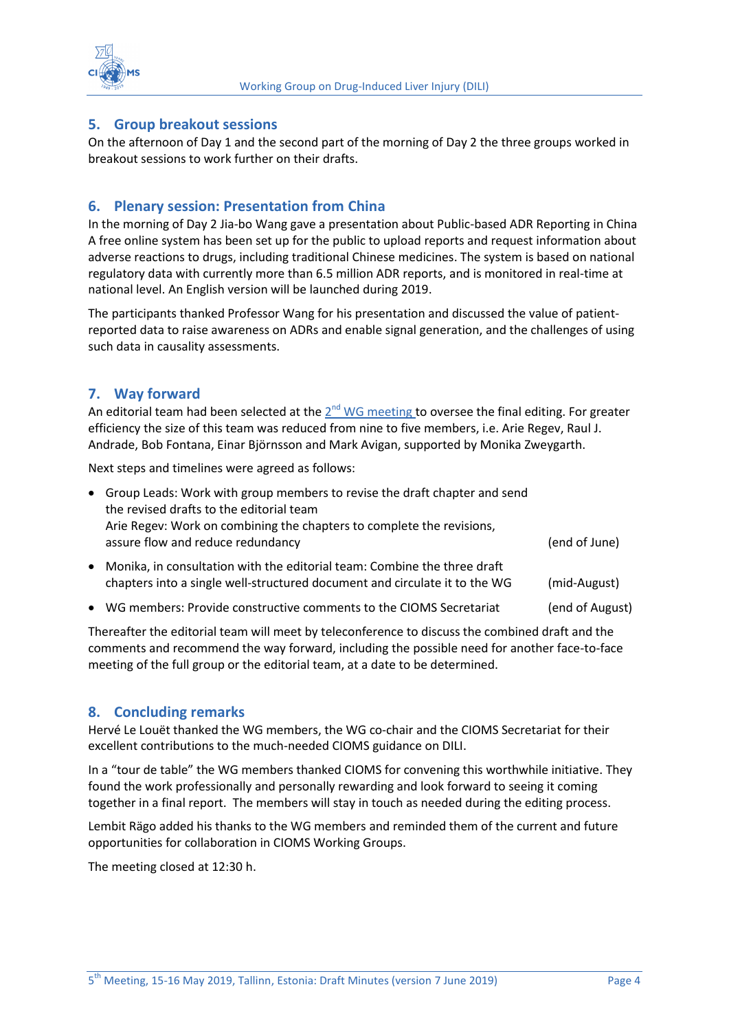

## <span id="page-3-0"></span>**5. Group breakout sessions**

On the afternoon of Day 1 and the second part of the morning of Day 2 the three groups worked in breakout sessions to work further on their drafts.

## <span id="page-3-1"></span>**6. Plenary session: Presentation from China**

In the morning of Day 2 Jia-bo Wang gave a presentation about Public-based ADR Reporting in China A free online system has been set up for the public to upload reports and request information about adverse reactions to drugs, including traditional Chinese medicines. The system is based on national regulatory data with currently more than 6.5 million ADR reports, and is monitored in real-time at national level. An English version will be launched during 2019.

The participants thanked Professor Wang for his presentation and discussed the value of patientreported data to raise awareness on ADRs and enable signal generation, and the challenges of using such data in causality assessments.

### <span id="page-3-2"></span>**7. Way forward**

An editorial team had been selected at the  $2^{nd}$  [WG meeting t](https://cioms.ch/wp-content/uploads/2017/06/WebMinutes-2ndMtg_DILI-WG_Nov-14-15-2017.pdf)o oversee the final editing. For greater efficiency the size of this team was reduced from nine to five members, i.e. Arie Regev, Raul J. Andrade, Bob Fontana, Einar Björnsson and Mark Avigan, supported by Monika Zweygarth.

Next steps and timelines were agreed as follows:

|           | • Group Leads: Work with group members to revise the draft chapter and send<br>the revised drafts to the editorial team<br>Arie Regev: Work on combining the chapters to complete the revisions,<br>assure flow and reduce redundancy | (end of June)   |
|-----------|---------------------------------------------------------------------------------------------------------------------------------------------------------------------------------------------------------------------------------------|-----------------|
| $\bullet$ | Monika, in consultation with the editorial team: Combine the three draft<br>chapters into a single well-structured document and circulate it to the WG                                                                                | (mid-August)    |
|           | • WG members: Provide constructive comments to the CIOMS Secretariat                                                                                                                                                                  | (end of August) |

Thereafter the editorial team will meet by teleconference to discuss the combined draft and the comments and recommend the way forward, including the possible need for another face-to-face meeting of the full group or the editorial team, at a date to be determined.

#### <span id="page-3-3"></span>**8. Concluding remarks**

Hervé Le Louët thanked the WG members, the WG co-chair and the CIOMS Secretariat for their excellent contributions to the much-needed CIOMS guidance on DILI.

In a "tour de table" the WG members thanked CIOMS for convening this worthwhile initiative. They found the work professionally and personally rewarding and look forward to seeing it coming together in a final report. The members will stay in touch as needed during the editing process.

Lembit Rägo added his thanks to the WG members and reminded them of the current and future opportunities for collaboration in CIOMS Working Groups.

The meeting closed at 12:30 h.